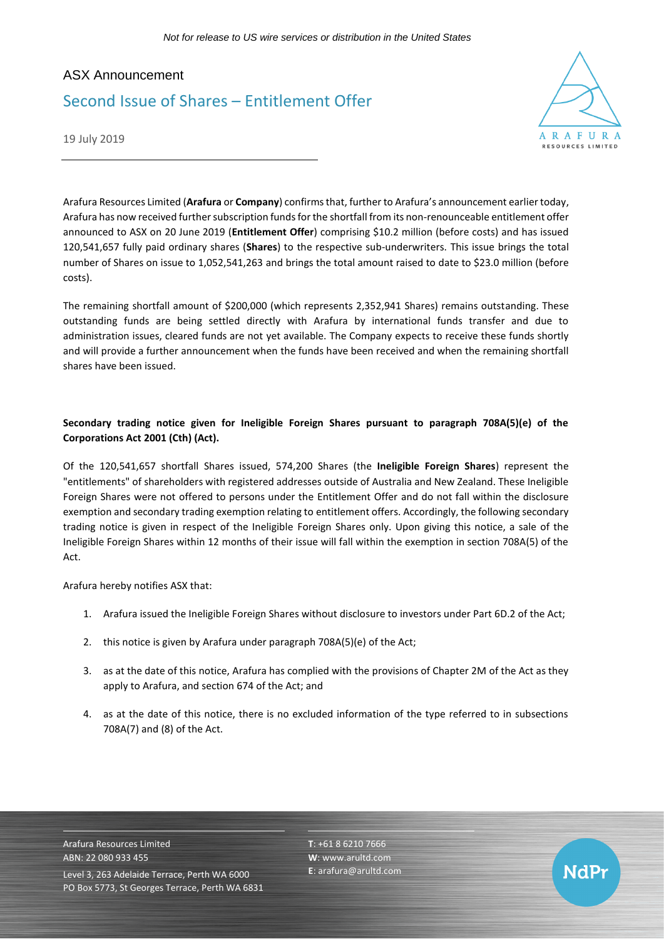## ASX Announcement Second Issue of Shares – Entitlement Offer



19 July 2019

Arafura Resources Limited (**Arafura** or **Company**) confirms that, further to Arafura's announcement earlier today, Arafura has now received further subscription funds for the shortfall from its non-renounceable entitlement offer announced to ASX on 20 June 2019 (**Entitlement Offer**) comprising \$10.2 million (before costs) and has issued 120,541,657 fully paid ordinary shares (**Shares**) to the respective sub-underwriters. This issue brings the total number of Shares on issue to 1,052,541,263 and brings the total amount raised to date to \$23.0 million (before costs).

The remaining shortfall amount of \$200,000 (which represents 2,352,941 Shares) remains outstanding. These outstanding funds are being settled directly with Arafura by international funds transfer and due to administration issues, cleared funds are not yet available. The Company expects to receive these funds shortly and will provide a further announcement when the funds have been received and when the remaining shortfall shares have been issued.

## **Secondary trading notice given for Ineligible Foreign Shares pursuant to paragraph 708A(5)(e) of the Corporations Act 2001 (Cth) (Act).**

Of the 120,541,657 shortfall Shares issued, 574,200 Shares (the **Ineligible Foreign Shares**) represent the "entitlements" of shareholders with registered addresses outside of Australia and New Zealand. These Ineligible Foreign Shares were not offered to persons under the Entitlement Offer and do not fall within the disclosure exemption and secondary trading exemption relating to entitlement offers. Accordingly, the following secondary trading notice is given in respect of the Ineligible Foreign Shares only. Upon giving this notice, a sale of the Ineligible Foreign Shares within 12 months of their issue will fall within the exemption in section 708A(5) of the Act.

Arafura hereby notifies ASX that:

- 1. Arafura issued the Ineligible Foreign Shares without disclosure to investors under Part 6D.2 of the Act;
- 2. this notice is given by Arafura under paragraph 708A(5)(e) of the Act;
- 3. as at the date of this notice, Arafura has complied with the provisions of Chapter 2M of the Act as they apply to Arafura, and section 674 of the Act; and
- 4. as at the date of this notice, there is no excluded information of the type referred to in subsections 708A(7) and (8) of the Act.

Arafura Resources Limited ABN: 22 080 933 455 Level 3, 263 Adelaide Terrace, Perth WA 6000 PO Box 5773, St Georges Terrace, Perth WA 6831 **T**: +61 8 6210 7666 **W**: [www.arultd.com](http://www.arultd.com/) **E**[: arafura@arultd.com](mailto:arafura@arultd.com)